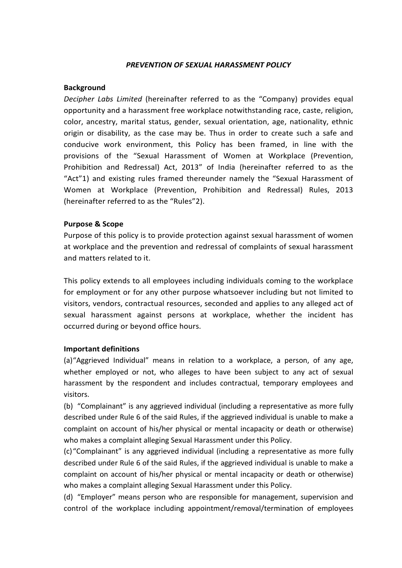#### PREVENTION OF SEXUAL HARASSMENT POLICY

### Background

Decipher Labs Limited (hereinafter referred to as the "Company) provides equal opportunity and a harassment free workplace notwithstanding race, caste, religion, color, ancestry, marital status, gender, sexual orientation, age, nationality, ethnic origin or disability, as the case may be. Thus in order to create such a safe and conducive work environment, this Policy has been framed, in line with the provisions of the "Sexual Harassment of Women at Workplace (Prevention, Prohibition and Redressal) Act, 2013" of India (hereinafter referred to as the "Act"1) and existing rules framed thereunder namely the "Sexual Harassment of Women at Workplace (Prevention, Prohibition and Redressal) Rules, 2013 (hereinafter referred to as the "Rules"2).

### Purpose & Scope

Purpose of this policy is to provide protection against sexual harassment of women at workplace and the prevention and redressal of complaints of sexual harassment and matters related to it.

This policy extends to all employees including individuals coming to the workplace for employment or for any other purpose whatsoever including but not limited to visitors, vendors, contractual resources, seconded and applies to any alleged act of sexual harassment against persons at workplace, whether the incident has occurred during or beyond office hours.

### Important definitions

(a)"Aggrieved Individual" means in relation to a workplace, a person, of any age, whether employed or not, who alleges to have been subject to any act of sexual harassment by the respondent and includes contractual, temporary employees and visitors.

(b) "Complainant" is any aggrieved individual (including a representative as more fully described under Rule 6 of the said Rules, if the aggrieved individual is unable to make a complaint on account of his/her physical or mental incapacity or death or otherwise) who makes a complaint alleging Sexual Harassment under this Policy.

(c)"Complainant" is any aggrieved individual (including a representative as more fully described under Rule 6 of the said Rules, if the aggrieved individual is unable to make a complaint on account of his/her physical or mental incapacity or death or otherwise) who makes a complaint alleging Sexual Harassment under this Policy.

(d) "Employer" means person who are responsible for management, supervision and control of the workplace including appointment/removal/termination of employees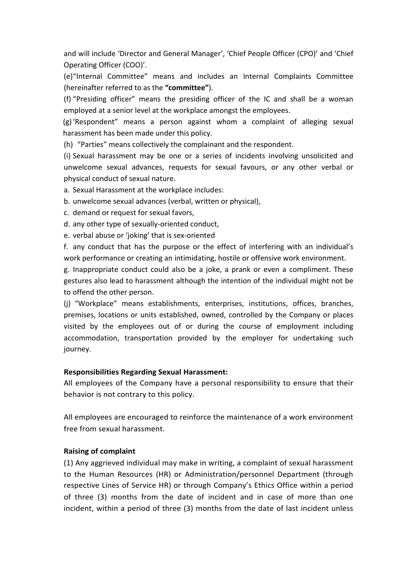and will include 'Director and General Manager', 'Chief People Officer (CPO)' and 'Chief Operating Officer (COO)'.

(e)"Internal Committee" means and includes an Internal Complaints Committee (hereinafter referred to as the "committee").

(f) "Presiding officer" means the presiding officer of the IC and shall be a woman employed at a senior level at the workplace amongst the employees.

(g)'Respondent" means a person against whom a complaint of alleging sexual harassment has been made under this policy.

(h) "Parties" means collectively the complainant and the respondent.

(i) Sexual harassment may be one or a series of incidents involving unsolicited and unwelcome sexual advances, requests for sexual favours, or any other verbal or physical conduct of sexual nature.

a. Sexual Harassment at the workplace includes:

b. unwelcome sexual advances (verbal, written or physical),

c. demand or request for sexual favors,

d. any other type of sexually-oriented conduct,

e. verbal abuse or 'joking' that is sex-oriented

f. any conduct that has the purpose or the effect of interfering with an individual's work performance or creating an intimidating, hostile or offensive work environment.

g. Inappropriate conduct could also be a joke, a prank or even a compliment. These gestures also lead to harassment although the intention of the individual might not be to offend the other person.

(j) "Workplace" means establishments, enterprises, institutions, offices, branches, premises, locations or units established, owned, controlled by the Company or places visited by the employees out of or during the course of employment including accommodation, transportation provided by the employer for undertaking such journey.

### Responsibilities Regarding Sexual Harassment:

All employees of the Company have a personal responsibility to ensure that their behavior is not contrary to this policy.

All employees are encouraged to reinforce the maintenance of a work environment free from sexual harassment.

# Raising of complaint

(1) Any aggrieved individual may make in writing, a complaint of sexual harassment to the Human Resources (HR) or Administration/personnel Department (through respective Lines of Service HR) or through Company's Ethics Office within a period of three (3) months from the date of incident and in case of more than one incident, within a period of three (3) months from the date of last incident unless